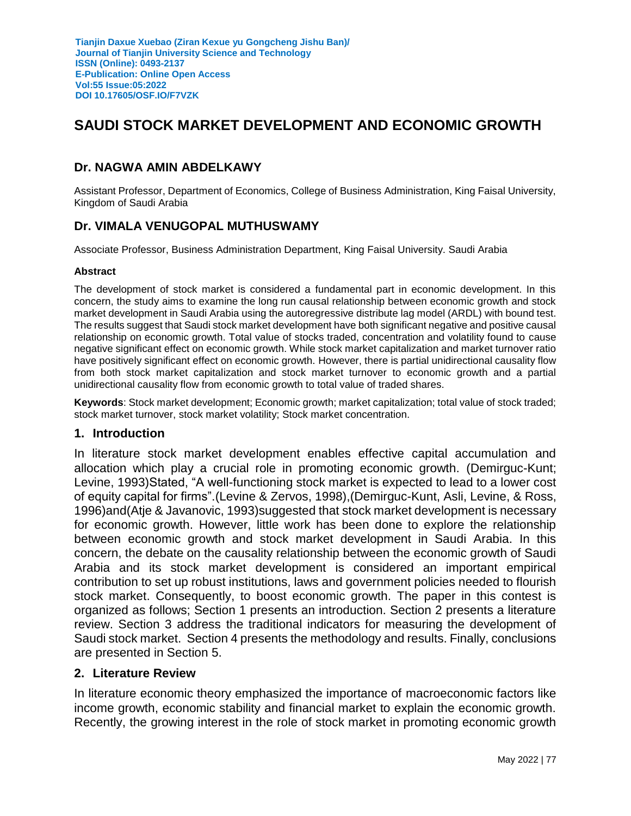# **SAUDI STOCK MARKET DEVELOPMENT AND ECONOMIC GROWTH**

### **Dr. NAGWA AMIN ABDELKAWY**

Assistant Professor, Department of Economics, College of Business Administration, King Faisal University, Kingdom of Saudi Arabia

#### **Dr. VIMALA VENUGOPAL MUTHUSWAMY**

Associate Professor, Business Administration Department, King Faisal University. Saudi Arabia

#### **Abstract**

The development of stock market is considered a fundamental part in economic development. In this concern, the study aims to examine the long run causal relationship between economic growth and stock market development in Saudi Arabia using the autoregressive distribute lag model (ARDL) with bound test. The results suggest that Saudi stock market development have both significant negative and positive causal relationship on economic growth. Total value of stocks traded, concentration and volatility found to cause negative significant effect on economic growth. While stock market capitalization and market turnover ratio have positively significant effect on economic growth. However, there is partial unidirectional causality flow from both stock market capitalization and stock market turnover to economic growth and a partial unidirectional causality flow from economic growth to total value of traded shares.

**Keywords**: Stock market development; Economic growth; market capitalization; total value of stock traded; stock market turnover, stock market volatility; Stock market concentration.

#### **1. Introduction**

In literature stock market development enables effective capital accumulation and allocation which play a crucial role in promoting economic growth. (Demirguc-Kunt; Levine, 1993)Stated, "A well-functioning stock market is expected to lead to a lower cost of equity capital for firms".(Levine & Zervos, 1998),(Demirguc-Kunt, Asli, Levine, & Ross, 1996)and(Atje & Javanovic, 1993)suggested that stock market development is necessary for economic growth. However, little work has been done to explore the relationship between economic growth and stock market development in Saudi Arabia. In this concern, the debate on the causality relationship between the economic growth of Saudi Arabia and its stock market development is considered an important empirical contribution to set up robust institutions, laws and government policies needed to flourish stock market. Consequently, to boost economic growth. The paper in this contest is organized as follows; Section 1 presents an introduction. Section 2 presents a literature review. Section 3 address the traditional indicators for measuring the development of Saudi stock market. Section 4 presents the methodology and results. Finally, conclusions are presented in Section 5.

#### **2. Literature Review**

In literature economic theory emphasized the importance of macroeconomic factors like income growth, economic stability and financial market to explain the economic growth. Recently, the growing interest in the role of stock market in promoting economic growth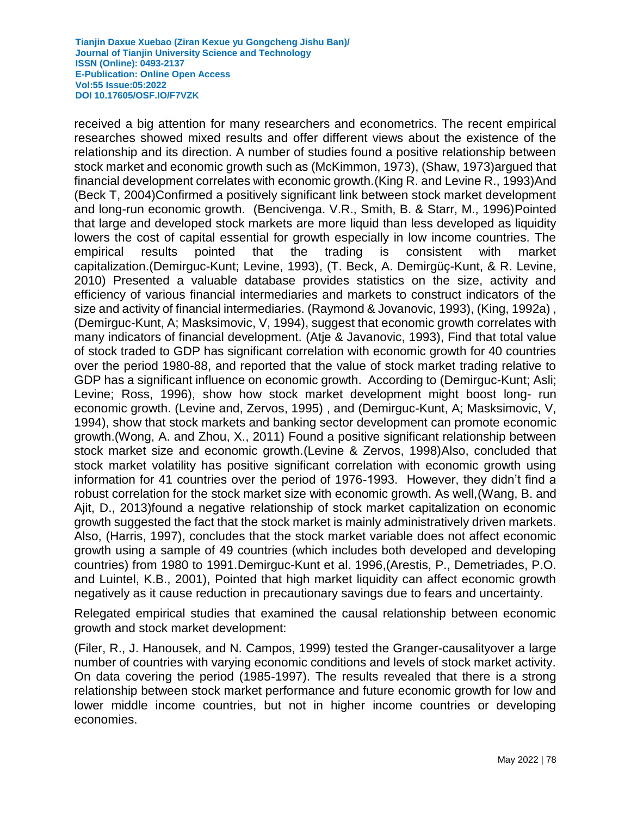received a big attention for many researchers and econometrics. The recent empirical researches showed mixed results and offer different views about the existence of the relationship and its direction. A number of studies found a positive relationship between stock market and economic growth such as (McKimmon, 1973), (Shaw, 1973)argued that financial development correlates with economic growth.(King R. and Levine R., 1993)And (Beck T, 2004)Confirmed a positively significant link between stock market development and long-run economic growth. (Bencivenga. V.R., Smith, B. & Starr, M., 1996)Pointed that large and developed stock markets are more liquid than less developed as liquidity lowers the cost of capital essential for growth especially in low income countries. The empirical results pointed that the trading is consistent with market capitalization.(Demirguc-Kunt; Levine, 1993), (T. Beck, A. Demirgüç-Kunt, & R. Levine, 2010) Presented a valuable database provides statistics on the size, activity and efficiency of various financial intermediaries and markets to construct indicators of the size and activity of financial intermediaries. (Raymond & Jovanovic, 1993), (King, 1992a) , (Demirguc-Kunt, A; Masksimovic, V, 1994), suggest that economic growth correlates with many indicators of financial development. (Atje & Javanovic, 1993), Find that total value of stock traded to GDP has significant correlation with economic growth for 40 countries over the period 1980-88, and reported that the value of stock market trading relative to GDP has a significant influence on economic growth. According to (Demirguc-Kunt; Asli; Levine; Ross, 1996), show how stock market development might boost long- run economic growth. (Levine and, Zervos, 1995) , and (Demirguc-Kunt, A; Masksimovic, V, 1994), show that stock markets and banking sector development can promote economic growth.(Wong, A. and Zhou, X., 2011) Found a positive significant relationship between stock market size and economic growth.(Levine & Zervos, 1998)Also, concluded that stock market volatility has positive significant correlation with economic growth using information for 41 countries over the period of 1976-1993. However, they didn't find a robust correlation for the stock market size with economic growth. As well,(Wang, B. and Ajit, D., 2013)found a negative relationship of stock market capitalization on economic growth suggested the fact that the stock market is mainly administratively driven markets. Also, (Harris, 1997), concludes that the stock market variable does not affect economic growth using a sample of 49 countries (which includes both developed and developing countries) from 1980 to 1991.Demirguc-Kunt et al. 1996,(Arestis, P., Demetriades, P.O. and Luintel, K.B., 2001), Pointed that high market liquidity can affect economic growth negatively as it cause reduction in precautionary savings due to fears and uncertainty.

Relegated empirical studies that examined the causal relationship between economic growth and stock market development:

(Filer, R., J. Hanousek, and N. Campos, 1999) tested the Granger-causalityover a large number of countries with varying economic conditions and levels of stock market activity. On data covering the period (1985-1997). The results revealed that there is a strong relationship between stock market performance and future economic growth for low and lower middle income countries, but not in higher income countries or developing economies.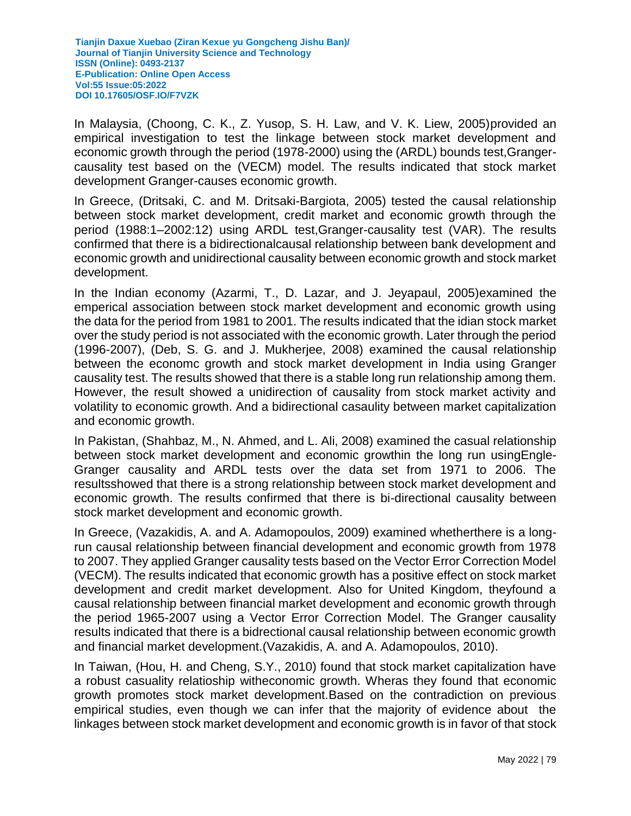In Malaysia, (Choong, C. K., Z. Yusop, S. H. Law, and V. K. Liew, 2005)provided an empirical investigation to test the linkage between stock market development and economic growth through the period (1978-2000) using the (ARDL) bounds test,Grangercausality test based on the (VECM) model. The results indicated that stock market development Granger-causes economic growth.

In Greece, (Dritsaki, C. and M. Dritsaki-Bargiota, 2005) tested the causal relationship between stock market development, credit market and economic growth through the period (1988:1–2002:12) using ARDL test,Granger-causality test (VAR). The results confirmed that there is a bidirectionalcausal relationship between bank development and economic growth and unidirectional causality between economic growth and stock market development.

In the Indian economy (Azarmi, T., D. Lazar, and J. Jeyapaul, 2005)examined the emperical association between stock market development and economic growth using the data for the period from 1981 to 2001. The results indicated that the idian stock market over the study period is not associated with the economic growth. Later through the period (1996-2007), (Deb, S. G. and J. Mukherjee, 2008) examined the causal relationship between the economc growth and stock market development in India using Granger causality test. The results showed that there is a stable long run relationship among them. However, the result showed a unidirection of causality from stock market activity and volatility to economic growth. And a bidirectional casaulity between market capitalization and economic growth.

In Pakistan, (Shahbaz, M., N. Ahmed, and L. Ali, 2008) examined the casual relationship between stock market development and economic growthin the long run usingEngle-Granger causality and ARDL tests over the data set from 1971 to 2006. The resultsshowed that there is a strong relationship between stock market development and economic growth. The results confirmed that there is bi-directional causality between stock market development and economic growth.

In Greece, (Vazakidis, A. and A. Adamopoulos, 2009) examined whetherthere is a longrun causal relationship between financial development and economic growth from 1978 to 2007. They applied Granger causality tests based on the Vector Error Correction Model (VECM). The results indicated that economic growth has a positive effect on stock market development and credit market development. Also for United Kingdom, theyfound a causal relationship between financial market development and economic growth through the period 1965-2007 using a Vector Error Correction Model. The Granger causality results indicated that there is a bidrectional causal relationship between economic growth and financial market development.(Vazakidis, A. and A. Adamopoulos, 2010).

In Taiwan, (Hou, H. and Cheng, S.Y., 2010) found that stock market capitalization have a robust casuality relatioship witheconomic growth. Wheras they found that economic growth promotes stock market development.Based on the contradiction on previous empirical studies, even though we can infer that the majority of evidence about the linkages between stock market development and economic growth is in favor of that stock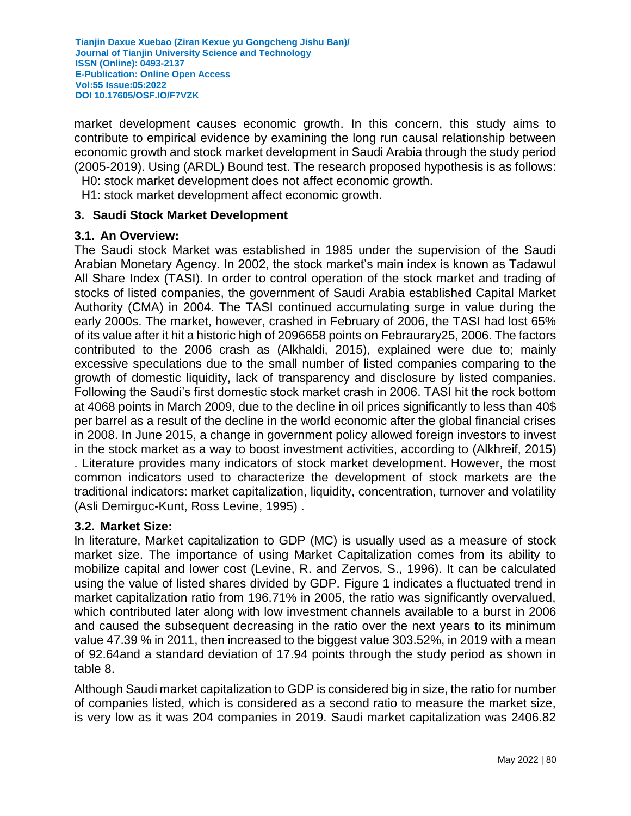market development causes economic growth. In this concern, this study aims to contribute to empirical evidence by examining the long run causal relationship between economic growth and stock market development in Saudi Arabia through the study period (2005-2019). Using (ARDL) Bound test. The research proposed hypothesis is as follows:

H0: stock market development does not affect economic growth.

H1: stock market development affect economic growth.

### **3. Saudi Stock Market Development**

#### **3.1. An Overview:**

The Saudi stock Market was established in 1985 under the supervision of the Saudi Arabian Monetary Agency. In 2002, the stock market's main index is known as Tadawul All Share Index (TASI). In order to control operation of the stock market and trading of stocks of listed companies, the government of Saudi Arabia established Capital Market Authority (CMA) in 2004. The TASI continued accumulating surge in value during the early 2000s. The market, however, crashed in February of 2006, the TASI had lost 65% of its value after it hit a historic high of 2096658 points on Febraurary25, 2006. The factors contributed to the 2006 crash as (Alkhaldi, 2015), explained were due to; mainly excessive speculations due to the small number of listed companies comparing to the growth of domestic liquidity, lack of transparency and disclosure by listed companies. Following the Saudi's first domestic stock market crash in 2006. TASI hit the rock bottom at 4068 points in March 2009, due to the decline in oil prices significantly to less than 40\$ per barrel as a result of the decline in the world economic after the global financial crises in 2008. In June 2015, a change in government policy allowed foreign investors to invest in the stock market as a way to boost investment activities, according to (Alkhreif, 2015) . Literature provides many indicators of stock market development. However, the most common indicators used to characterize the development of stock markets are the traditional indicators: market capitalization, liquidity, concentration, turnover and volatility (Asli Demirguc-Kunt, Ross Levine, 1995) .

#### **3.2. Market Size:**

In literature, Market capitalization to GDP (MC) is usually used as a measure of stock market size. The importance of using Market Capitalization comes from its ability to mobilize capital and lower cost (Levine, R. and Zervos, S., 1996). It can be calculated using the value of listed shares divided by GDP. Figure 1 indicates a fluctuated trend in market capitalization ratio from 196.71% in 2005, the ratio was significantly overvalued, which contributed later along with low investment channels available to a burst in 2006 and caused the subsequent decreasing in the ratio over the next years to its minimum value 47.39 % in 2011, then increased to the biggest value 303.52%, in 2019 with a mean of 92.64and a standard deviation of 17.94 points through the study period as shown in table 8.

Although Saudi market capitalization to GDP is considered big in size, the ratio for number of companies listed, which is considered as a second ratio to measure the market size, is very low as it was 204 companies in 2019. Saudi market capitalization was 2406.82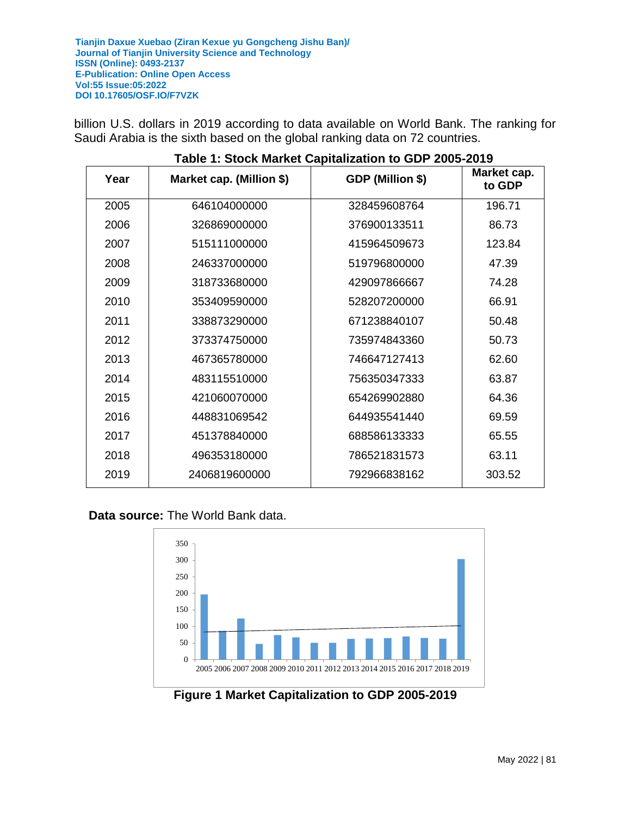billion U.S. dollars in 2019 according to data available on World Bank. The ranking for Saudi Arabia is the sixth based on the global ranking data on 72 countries.

| Year | Market cap. (Million \$) | GDP (Million \$) | Market cap.<br>to GDP |
|------|--------------------------|------------------|-----------------------|
| 2005 | 646104000000             | 328459608764     | 196.71                |
| 2006 | 326869000000             | 376900133511     | 86.73                 |
| 2007 | 515111000000             | 415964509673     | 123.84                |
| 2008 | 246337000000             | 519796800000     | 47.39                 |
| 2009 | 318733680000             | 429097866667     | 74.28                 |
| 2010 | 353409590000             | 528207200000     | 66.91                 |
| 2011 | 338873290000             | 671238840107     | 50.48                 |
| 2012 | 373374750000             | 735974843360     | 50.73                 |
| 2013 | 467365780000             | 746647127413     | 62.60                 |
| 2014 | 483115510000             | 756350347333     | 63.87                 |
| 2015 | 421060070000             | 654269902880     | 64.36                 |
| 2016 | 448831069542             | 644935541440     | 69.59                 |
| 2017 | 451378840000             | 688586133333     | 65.55                 |
| 2018 | 496353180000             | 786521831573     | 63.11                 |
| 2019 | 2406819600000            | 792966838162     | 303.52                |

### **Table 1: Stock Market Capitalization to GDP 2005-2019**

**Data source:** The World Bank data.



**Figure 1 Market Capitalization to GDP 2005-2019**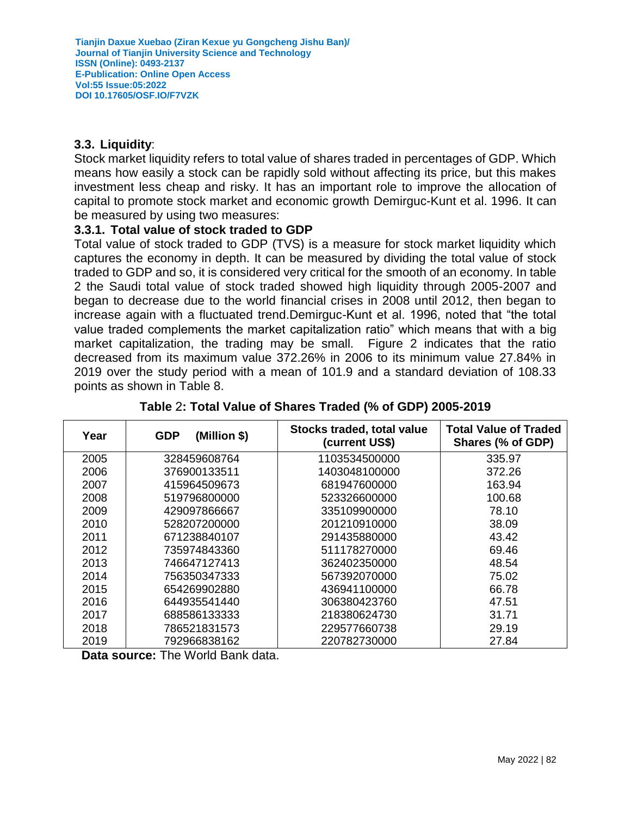### **3.3. Liquidity**:

Stock market liquidity refers to total value of shares traded in percentages of GDP. Which means how easily a stock can be rapidly sold without affecting its price, but this makes investment less cheap and risky. It has an important role to improve the allocation of capital to promote stock market and economic growth Demirguc-Kunt et al. 1996. It can be measured by using two measures:

#### **3.3.1. Total value of stock traded to GDP**

Total value of stock traded to GDP (TVS) is a measure for stock market liquidity which captures the economy in depth. It can be measured by dividing the total value of stock traded to GDP and so, it is considered very critical for the smooth of an economy. In table 2 the Saudi total value of stock traded showed high liquidity through 2005-2007 and began to decrease due to the world financial crises in 2008 until 2012, then began to increase again with a fluctuated trend.Demirguc-Kunt et al. 1996, noted that "the total value traded complements the market capitalization ratio" which means that with a big market capitalization, the trading may be small. Figure 2 indicates that the ratio decreased from its maximum value 372.26% in 2006 to its minimum value 27.84% in 2019 over the study period with a mean of 101.9 and a standard deviation of 108.33 points as shown in Table 8.

| Year | (Million \$)<br><b>GDP</b>   | Stocks traded, total value<br>(current US\$) | <b>Total Value of Traded</b><br>Shares (% of GDP) |
|------|------------------------------|----------------------------------------------|---------------------------------------------------|
| 2005 | 328459608764                 | 1103534500000                                | 335.97                                            |
| 2006 | 376900133511                 | 1403048100000                                | 372.26                                            |
| 2007 | 415964509673                 | 681947600000                                 | 163.94                                            |
| 2008 | 519796800000                 | 523326600000                                 | 100.68                                            |
| 2009 | 429097866667                 | 335109900000                                 | 78.10                                             |
| 2010 | 528207200000                 | 201210910000                                 | 38.09                                             |
| 2011 | 671238840107                 | 291435880000                                 |                                                   |
| 2012 | 735974843360                 | 511178270000                                 |                                                   |
| 2013 | 746647127413<br>362402350000 |                                              | 48.54                                             |
| 2014 | 756350347333<br>567392070000 |                                              | 75.02                                             |
| 2015 | 654269902880                 | 436941100000                                 |                                                   |
| 2016 | 644935541440                 | 306380423760                                 | 47.51                                             |
| 2017 | 688586133333                 | 218380624730                                 | 31.71                                             |
| 2018 | 786521831573                 | 229577660738                                 | 29.19                                             |
| 2019 | 792966838162                 | 220782730000                                 | 27.84                                             |

| Table 2: Total Value of Shares Traded (% of GDP) 2005-2019 |  |  |
|------------------------------------------------------------|--|--|
|------------------------------------------------------------|--|--|

**Data source:** The World Bank data.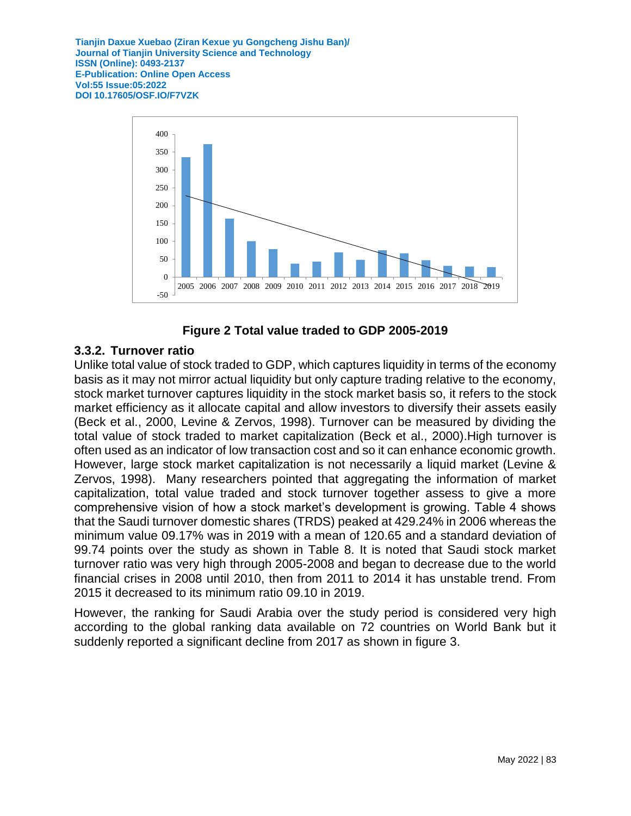



### **3.3.2. Turnover ratio**

Unlike total value of stock traded to GDP, which captures liquidity in terms of the economy basis as it may not mirror actual liquidity but only capture trading relative to the economy, stock market turnover captures liquidity in the stock market basis so, it refers to the stock market efficiency as it allocate capital and allow investors to diversify their assets easily (Beck et al., 2000, Levine & Zervos, 1998). Turnover can be measured by dividing the total value of stock traded to market capitalization (Beck et al., 2000).High turnover is often used as an indicator of low transaction cost and so it can enhance economic growth. However, large stock market capitalization is not necessarily a liquid market (Levine & Zervos, 1998). Many researchers pointed that aggregating the information of market capitalization, total value traded and stock turnover together assess to give a more comprehensive vision of how a stock market's development is growing. Table 4 shows that the Saudi turnover domestic shares (TRDS) peaked at 429.24% in 2006 whereas the minimum value 09.17% was in 2019 with a mean of 120.65 and a standard deviation of 99.74 points over the study as shown in Table 8. It is noted that Saudi stock market turnover ratio was very high through 2005-2008 and began to decrease due to the world financial crises in 2008 until 2010, then from 2011 to 2014 it has unstable trend. From 2015 it decreased to its minimum ratio 09.10 in 2019.

However, the ranking for Saudi Arabia over the study period is considered very high according to the global ranking data available on 72 countries on World Bank but it suddenly reported a significant decline from 2017 as shown in figure 3.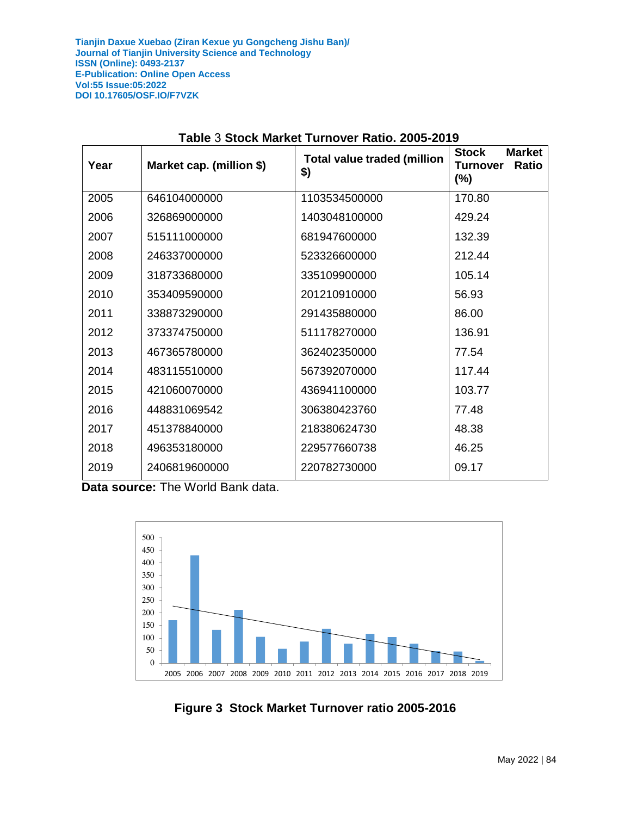| Year | Market cap. (million \$) | <b>Total value traded (million</b><br>\$) | <b>Stock</b><br><b>Market</b><br><b>Ratio</b><br>Turnover<br>$(\%)$ |
|------|--------------------------|-------------------------------------------|---------------------------------------------------------------------|
| 2005 | 646104000000             | 1103534500000                             | 170.80                                                              |
| 2006 | 326869000000             | 1403048100000                             | 429.24                                                              |
| 2007 | 515111000000             | 681947600000                              | 132.39                                                              |
| 2008 | 246337000000             | 523326600000                              | 212.44                                                              |
| 2009 | 318733680000             | 335109900000                              | 105.14                                                              |
| 2010 | 353409590000             | 201210910000                              | 56.93                                                               |
| 2011 | 338873290000             | 291435880000                              | 86.00                                                               |
| 2012 | 373374750000             | 511178270000                              | 136.91                                                              |
| 2013 | 467365780000             | 362402350000                              | 77.54                                                               |
| 2014 | 483115510000             | 567392070000                              | 117.44                                                              |
| 2015 | 421060070000             | 436941100000                              | 103.77                                                              |
| 2016 | 448831069542             | 306380423760                              | 77.48                                                               |
| 2017 | 451378840000             | 218380624730                              | 48.38                                                               |
| 2018 | 496353180000             | 229577660738                              | 46.25                                                               |
| 2019 | 2406819600000            | 220782730000                              | 09.17                                                               |

# **Table** 3 **Stock Market Turnover Ratio. 2005-2019**

**Data source:** The World Bank data.



**Figure 3 Stock Market Turnover ratio 2005-2016**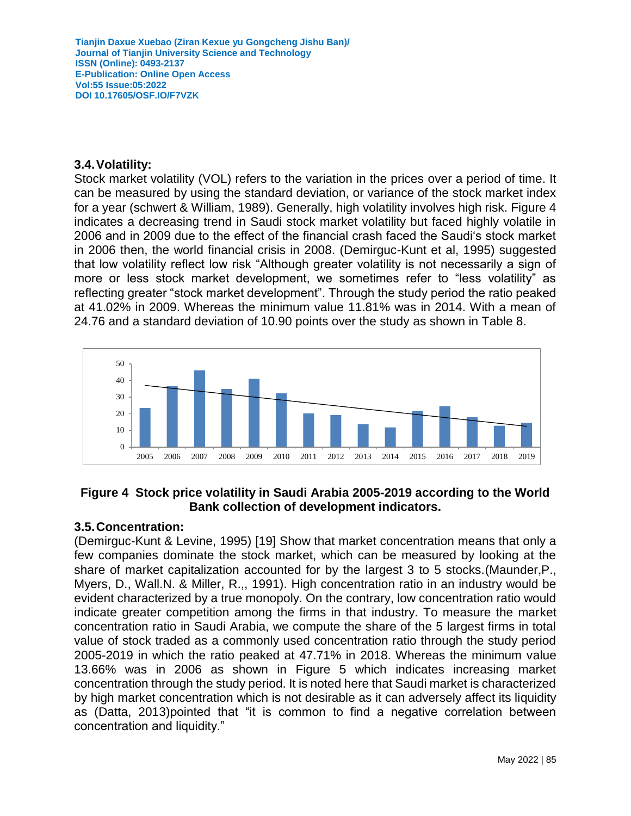#### **3.4.Volatility:**

Stock market volatility (VOL) refers to the variation in the prices over a period of time. It can be measured by using the standard deviation, or variance of the stock market index for a year (schwert & William, 1989). Generally, high volatility involves high risk. Figure 4 indicates a decreasing trend in Saudi stock market volatility but faced highly volatile in 2006 and in 2009 due to the effect of the financial crash faced the Saudi's stock market in 2006 then, the world financial crisis in 2008. (Demirguc-Kunt et al, 1995) suggested that low volatility reflect low risk "Although greater volatility is not necessarily a sign of more or less stock market development, we sometimes refer to "less volatility" as reflecting greater "stock market development". Through the study period the ratio peaked at 41.02% in 2009. Whereas the minimum value 11.81% was in 2014. With a mean of 24.76 and a standard deviation of 10.90 points over the study as shown in Table 8.



### **Figure 4 Stock price volatility in Saudi Arabia 2005-2019 according to the World Bank collection of development indicators.**

#### **3.5.Concentration:**

(Demirguc-Kunt & Levine, 1995) [19] Show that market concentration means that only a few companies dominate the stock market, which can be measured by looking at the share of market capitalization accounted for by the largest 3 to 5 stocks.(Maunder,P., Myers, D., Wall.N. & Miller, R.,, 1991). High concentration ratio in an industry would be evident characterized by a true monopoly. On the contrary, low concentration ratio would indicate greater competition among the firms in that industry. To measure the market concentration ratio in Saudi Arabia, we compute the share of the 5 largest firms in total value of stock traded as a commonly used concentration ratio through the study period 2005-2019 in which the ratio peaked at 47.71% in 2018. Whereas the minimum value 13.66% was in 2006 as shown in Figure 5 which indicates increasing market concentration through the study period. It is noted here that Saudi market is characterized by high market concentration which is not desirable as it can adversely affect its liquidity as (Datta, 2013)pointed that "it is common to find a negative correlation between concentration and liquidity."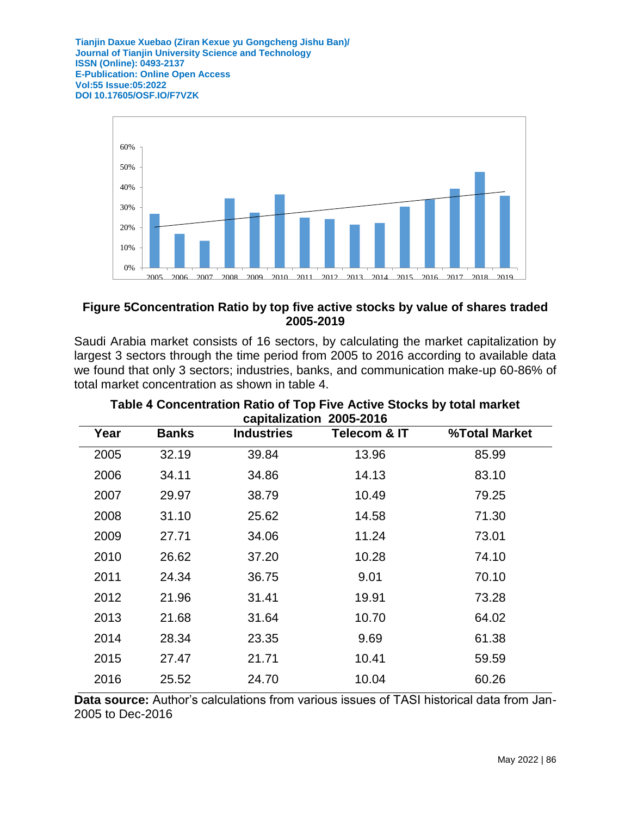

### **Figure 5Concentration Ratio by top five active stocks by value of shares traded 2005-2019**

Saudi Arabia market consists of 16 sectors, by calculating the market capitalization by largest 3 sectors through the time period from 2005 to 2016 according to available data we found that only 3 sectors; industries, banks, and communication make-up 60-86% of total market concentration as shown in table 4.

| Year | <b>Banks</b> | <b>Industries</b> | $\frac{1}{2}$<br>Telecom & IT | %Total Market |
|------|--------------|-------------------|-------------------------------|---------------|
| 2005 | 32.19        | 39.84             | 13.96                         | 85.99         |
| 2006 | 34.11        | 34.86             | 14.13                         | 83.10         |
| 2007 | 29.97        | 38.79             | 10.49                         | 79.25         |
| 2008 | 31.10        | 25.62             | 14.58                         | 71.30         |
| 2009 | 27.71        | 34.06             | 11.24                         | 73.01         |
| 2010 | 26.62        | 37.20             | 10.28                         | 74.10         |
| 2011 | 24.34        | 36.75             | 9.01                          | 70.10         |
| 2012 | 21.96        | 31.41             | 19.91                         | 73.28         |
| 2013 | 21.68        | 31.64             | 10.70                         | 64.02         |
| 2014 | 28.34        | 23.35             | 9.69                          | 61.38         |
| 2015 | 27.47        | 21.71             | 10.41                         | 59.59         |
| 2016 | 25.52        | 24.70             | 10.04                         | 60.26         |

### **Table 4 Concentration Ratio of Top Five Active Stocks by total market capitalization 2005-2016**

**Data source:** Author's calculations from various issues of TASI historical data from Jan-2005 to Dec-2016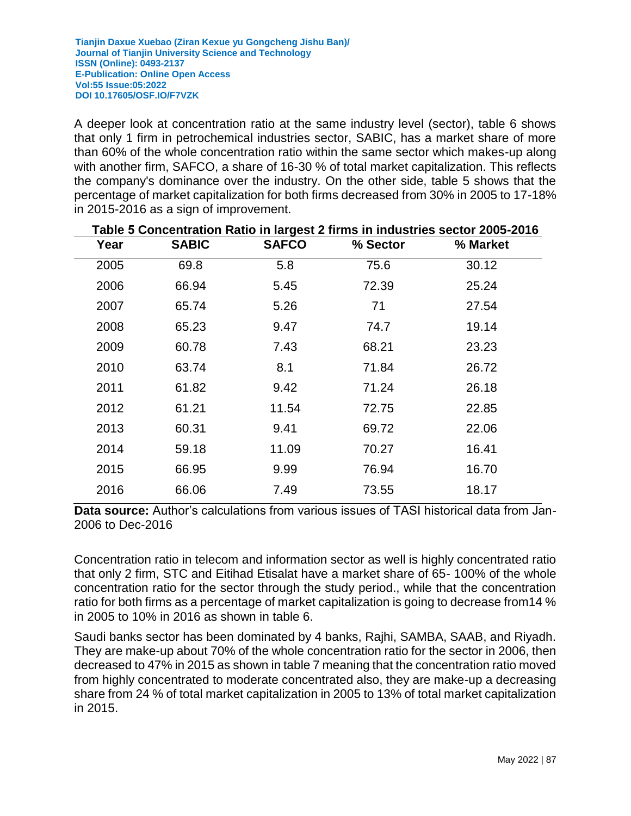A deeper look at concentration ratio at the same industry level (sector), table 6 shows that only 1 firm in petrochemical industries sector, SABIC, has a market share of more than 60% of the whole concentration ratio within the same sector which makes-up along with another firm, SAFCO, a share of 16-30 % of total market capitalization. This reflects the company's dominance over the industry. On the other side, table 5 shows that the percentage of market capitalization for both firms decreased from 30% in 2005 to 17-18% in 2015-2016 as a sign of improvement.

|      |              |              |          | Table 5 Concentration Ratio in largest 2 firms in industries sector 2005-2016 |
|------|--------------|--------------|----------|-------------------------------------------------------------------------------|
| Year | <b>SABIC</b> | <b>SAFCO</b> | % Sector | % Market                                                                      |
| 2005 | 69.8         | 5.8          | 75.6     | 30.12                                                                         |
| 2006 | 66.94        | 5.45         | 72.39    | 25.24                                                                         |
| 2007 | 65.74        | 5.26         | 71       | 27.54                                                                         |
| 2008 | 65.23        | 9.47         | 74.7     | 19.14                                                                         |
| 2009 | 60.78        | 7.43         | 68.21    | 23.23                                                                         |
| 2010 | 63.74        | 8.1          | 71.84    | 26.72                                                                         |
| 2011 | 61.82        | 9.42         | 71.24    | 26.18                                                                         |
| 2012 | 61.21        | 11.54        | 72.75    | 22.85                                                                         |
| 2013 | 60.31        | 9.41         | 69.72    | 22.06                                                                         |
| 2014 | 59.18        | 11.09        | 70.27    | 16.41                                                                         |
| 2015 | 66.95        | 9.99         | 76.94    | 16.70                                                                         |
| 2016 | 66.06        | 7.49         | 73.55    | 18.17                                                                         |

**Data source:** Author's calculations from various issues of TASI historical data from Jan-2006 to Dec-2016

Concentration ratio in telecom and information sector as well is highly concentrated ratio that only 2 firm, STC and Eitihad Etisalat have a market share of 65- 100% of the whole concentration ratio for the sector through the study period., while that the concentration ratio for both firms as a percentage of market capitalization is going to decrease from14 % in 2005 to 10% in 2016 as shown in table 6.

Saudi banks sector has been dominated by 4 banks, Rajhi, SAMBA, SAAB, and Riyadh. They are make-up about 70% of the whole concentration ratio for the sector in 2006, then decreased to 47% in 2015 as shown in table 7 meaning that the concentration ratio moved from highly concentrated to moderate concentrated also, they are make-up a decreasing share from 24 % of total market capitalization in 2005 to 13% of total market capitalization in 2015.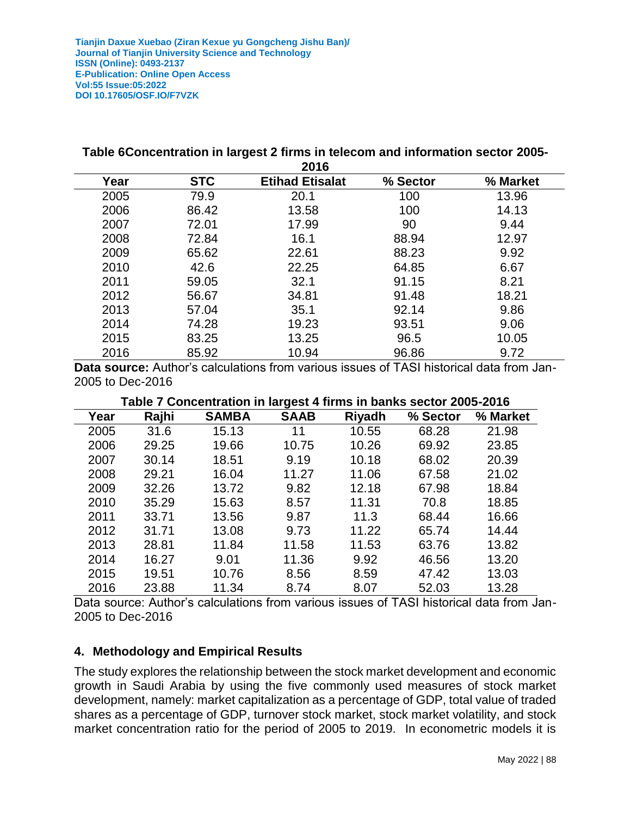#### **Table 6Concentration in largest 2 firms in telecom and information sector 2005- 2016**

|      |            | ZUIV                   |          |          |
|------|------------|------------------------|----------|----------|
| Year | <b>STC</b> | <b>Etihad Etisalat</b> | % Sector | % Market |
| 2005 | 79.9       | 20.1                   | 100      | 13.96    |
| 2006 | 86.42      | 13.58                  | 100      | 14.13    |
| 2007 | 72.01      | 17.99                  | 90       | 9.44     |
| 2008 | 72.84      | 16.1                   | 88.94    | 12.97    |
| 2009 | 65.62      | 22.61                  | 88.23    | 9.92     |
| 2010 | 42.6       | 22.25                  | 64.85    | 6.67     |
| 2011 | 59.05      | 32.1                   | 91.15    | 8.21     |
| 2012 | 56.67      | 34.81                  | 91.48    | 18.21    |
| 2013 | 57.04      | 35.1                   | 92.14    | 9.86     |
| 2014 | 74.28      | 19.23                  | 93.51    | 9.06     |
| 2015 | 83.25      | 13.25                  | 96.5     | 10.05    |
| 2016 | 85.92      | 10.94                  | 96.86    | 9.72     |

**Data source:** Author's calculations from various issues of TASI historical data from Jan-2005 to Dec-2016

#### **Table 7 Concentration in largest 4 firms in banks sector 2005-2016**

| Year | Rajhi | <b>SAMBA</b> | <b>SAAB</b> | <b>Riyadh</b> | % Sector | % Market |
|------|-------|--------------|-------------|---------------|----------|----------|
| 2005 | 31.6  | 15.13        | 11          | 10.55         | 68.28    | 21.98    |
| 2006 | 29.25 | 19.66        | 10.75       | 10.26         | 69.92    | 23.85    |
| 2007 | 30.14 | 18.51        | 9.19        | 10.18         | 68.02    | 20.39    |
| 2008 | 29.21 | 16.04        | 11.27       | 11.06         | 67.58    | 21.02    |
| 2009 | 32.26 | 13.72        | 9.82        | 12.18         | 67.98    | 18.84    |
| 2010 | 35.29 | 15.63        | 8.57        | 11.31         | 70.8     | 18.85    |
| 2011 | 33.71 | 13.56        | 9.87        | 11.3          | 68.44    | 16.66    |
| 2012 | 31.71 | 13.08        | 9.73        | 11.22         | 65.74    | 14.44    |
| 2013 | 28.81 | 11.84        | 11.58       | 11.53         | 63.76    | 13.82    |
| 2014 | 16.27 | 9.01         | 11.36       | 9.92          | 46.56    | 13.20    |
| 2015 | 19.51 | 10.76        | 8.56        | 8.59          | 47.42    | 13.03    |
| 2016 | 23.88 | 11.34        | 8.74        | 8.07          | 52.03    | 13.28    |

Data source: Author's calculations from various issues of TASI historical data from Jan-2005 to Dec-2016

#### **4. Methodology and Empirical Results**

The study explores the relationship between the stock market development and economic growth in Saudi Arabia by using the five commonly used measures of stock market development, namely: market capitalization as a percentage of GDP, total value of traded shares as a percentage of GDP, turnover stock market, stock market volatility, and stock market concentration ratio for the period of 2005 to 2019. In econometric models it is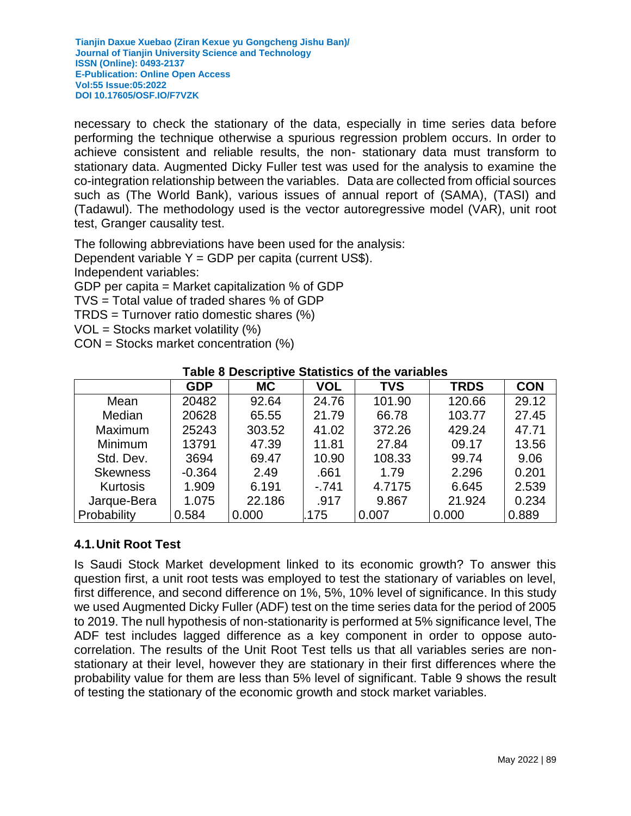necessary to check the stationary of the data, especially in time series data before performing the technique otherwise a spurious regression problem occurs. In order to achieve consistent and reliable results, the non- stationary data must transform to stationary data. Augmented Dicky Fuller test was used for the analysis to examine the co-integration relationship between the variables. Data are collected from official sources such as (The World Bank), various issues of annual report of (SAMA), (TASI) and (Tadawul). The methodology used is the vector autoregressive model (VAR), unit root test, Granger causality test.

The following abbreviations have been used for the analysis:

Dependent variable  $Y = GDP$  per capita (current US\$).

Independent variables:

GDP per capita = Market capitalization % of GDP

TVS = Total value of traded shares % of GDP

TRDS = Turnover ratio domestic shares (%)

VOL = Stocks market volatility (%)

CON = Stocks market concentration (%)

|                 | <b>GDP</b> | <b>MC</b> | <b>VOL</b> | <b>TVS</b> | <b>TRDS</b> | <b>CON</b> |
|-----------------|------------|-----------|------------|------------|-------------|------------|
| Mean            | 20482      | 92.64     | 24.76      | 101.90     | 120.66      | 29.12      |
| Median          | 20628      | 65.55     | 21.79      | 66.78      | 103.77      | 27.45      |
| Maximum         | 25243      | 303.52    | 41.02      | 372.26     | 429.24      | 47.71      |
| Minimum         | 13791      | 47.39     | 11.81      | 27.84      | 09.17       | 13.56      |
| Std. Dev.       | 3694       | 69.47     | 10.90      | 108.33     | 99.74       | 9.06       |
| <b>Skewness</b> | $-0.364$   | 2.49      | .661       | 1.79       | 2.296       | 0.201      |
| Kurtosis        | 1.909      | 6.191     | $-741$     | 4.7175     | 6.645       | 2.539      |
| Jarque-Bera     | 1.075      | 22.186    | .917       | 9.867      | 21.924      | 0.234      |
| Probability     | 0.584      | 0.000     | .175       | 0.007      | 0.000       | 0.889      |

### **Table 8 Descriptive Statistics of the variables**

### **4.1.Unit Root Test**

Is Saudi Stock Market development linked to its economic growth? To answer this question first, a unit root tests was employed to test the stationary of variables on level, first difference, and second difference on 1%, 5%, 10% level of significance. In this study we used Augmented Dicky Fuller (ADF) test on the time series data for the period of 2005 to 2019. The null hypothesis of non-stationarity is performed at 5% significance level, The ADF test includes lagged difference as a key component in order to oppose autocorrelation. The results of the Unit Root Test tells us that all variables series are nonstationary at their level, however they are stationary in their first differences where the probability value for them are less than 5% level of significant. Table 9 shows the result of testing the stationary of the economic growth and stock market variables.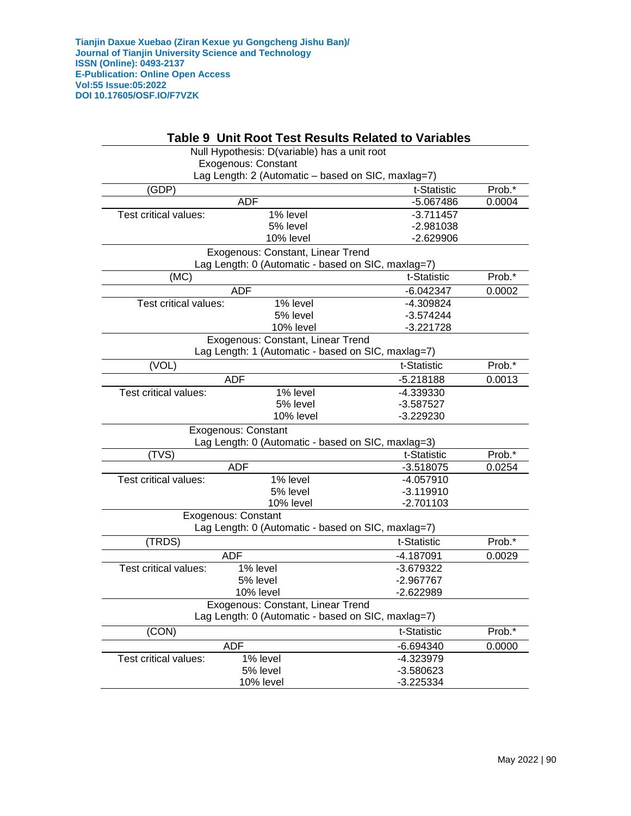|                       | Table 9 Unit Root Test Results Related to Variables |             |        |
|-----------------------|-----------------------------------------------------|-------------|--------|
|                       | Null Hypothesis: D(variable) has a unit root        |             |        |
|                       | <b>Exogenous: Constant</b>                          |             |        |
|                       | Lag Length: 2 (Automatic - based on SIC, maxlag=7)  |             |        |
| (GDP)                 |                                                     | t-Statistic | Prob.* |
|                       | <b>ADF</b>                                          | $-5.067486$ | 0.0004 |
| Test critical values: | 1% level                                            | $-3.711457$ |        |
|                       | 5% level                                            | $-2.981038$ |        |
|                       | 10% level                                           | $-2.629906$ |        |
|                       | Exogenous: Constant, Linear Trend                   |             |        |
|                       | Lag Length: 0 (Automatic - based on SIC, maxlag=7)  |             |        |
| (MC)                  |                                                     | t-Statistic | Prob.* |
|                       | <b>ADF</b>                                          | $-6.042347$ | 0.0002 |
| Test critical values: | 1% level                                            | -4.309824   |        |
|                       | 5% level                                            | $-3.574244$ |        |
|                       | 10% level                                           | $-3.221728$ |        |
|                       | Exogenous: Constant, Linear Trend                   |             |        |
|                       | Lag Length: 1 (Automatic - based on SIC, maxlag=7)  |             |        |
| (VOL)                 |                                                     | t-Statistic | Prob.* |
|                       | <b>ADF</b>                                          | $-5.218188$ | 0.0013 |
| Test critical values: | 1% level                                            | -4.339330   |        |
|                       | 5% level                                            | $-3.587527$ |        |
|                       | 10% level                                           | $-3.229230$ |        |
|                       | <b>Exogenous: Constant</b>                          |             |        |
|                       | Lag Length: 0 (Automatic - based on SIC, maxlag=3)  |             |        |
| (TVS)                 |                                                     | t-Statistic | Prob.* |
|                       | <b>ADF</b>                                          | $-3.518075$ | 0.0254 |
| Test critical values: | 1% level                                            | $-4.057910$ |        |
|                       | 5% level                                            | $-3.119910$ |        |
|                       | 10% level                                           | $-2.701103$ |        |
|                       | <b>Exogenous: Constant</b>                          |             |        |
|                       | Lag Length: 0 (Automatic - based on SIC, maxlag=7)  |             |        |
| (TRDS)                |                                                     | t-Statistic | Prob.* |
|                       | <b>ADF</b>                                          | -4.187091   | 0.0029 |
| Test critical values: | 1% level                                            | $-3.679322$ |        |
|                       | 5% level                                            | -2.967767   |        |
|                       | 10% level                                           | -2.622989   |        |
|                       | Exogenous: Constant, Linear Trend                   |             |        |
|                       | Lag Length: 0 (Automatic - based on SIC, maxlag=7)  |             |        |
| (CON)                 |                                                     | t-Statistic | Prob.* |
|                       | <b>ADF</b>                                          | $-6.694340$ | 0.0000 |
| Test critical values: | 1% level                                            | -4.323979   |        |
|                       | 5% level                                            | $-3.580623$ |        |
|                       | 10% level                                           | $-3.225334$ |        |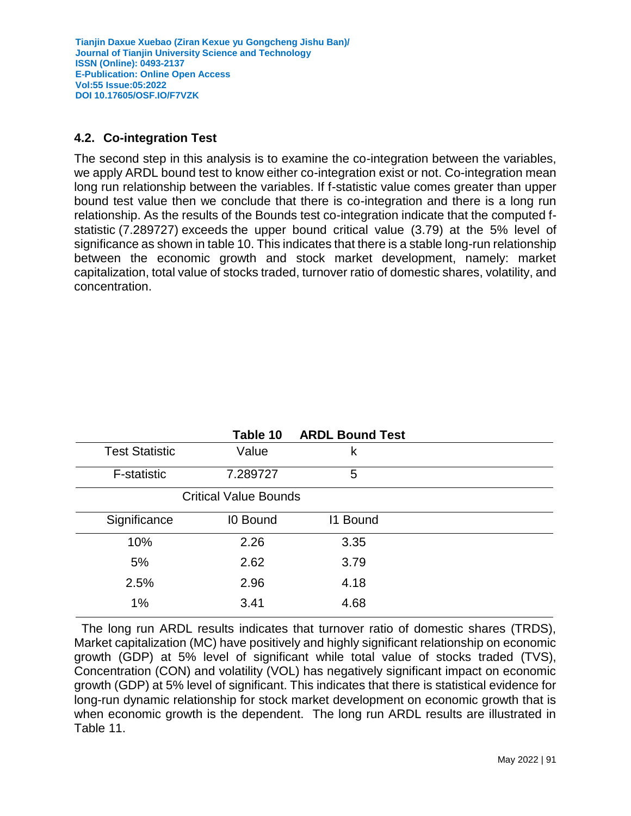## **4.2. Co-integration Test**

The second step in this analysis is to examine the co-integration between the variables, we apply ARDL bound test to know either co-integration exist or not. Co-integration mean long run relationship between the variables. If f-statistic value comes greater than upper bound test value then we conclude that there is co-integration and there is a long run relationship. As the results of the Bounds test co-integration indicate that the computed fstatistic (7.289727) exceeds the upper bound critical value (3.79) at the 5% level of significance as shown in table 10. This indicates that there is a stable long-run relationship between the economic growth and stock market development, namely: market capitalization, total value of stocks traded, turnover ratio of domestic shares, volatility, and concentration.

|                       | Table 10                     | <b>ARDL Bound Test</b> |  |
|-----------------------|------------------------------|------------------------|--|
| <b>Test Statistic</b> | Value                        | k                      |  |
| F-statistic           | 7.289727                     | 5                      |  |
|                       | <b>Critical Value Bounds</b> |                        |  |
| Significance          | <b>IO Bound</b>              | 11 Bound               |  |
| 10%                   | 2.26                         | 3.35                   |  |
| 5%                    | 2.62                         | 3.79                   |  |
| 2.5%                  | 2.96                         | 4.18                   |  |
| 1%                    | 3.41                         | 4.68                   |  |

The long run ARDL results indicates that turnover ratio of domestic shares (TRDS), Market capitalization (MC) have positively and highly significant relationship on economic growth (GDP) at 5% level of significant while total value of stocks traded (TVS), Concentration (CON) and volatility (VOL) has negatively significant impact on economic growth (GDP) at 5% level of significant. This indicates that there is statistical evidence for long-run dynamic relationship for stock market development on economic growth that is when economic growth is the dependent. The long run ARDL results are illustrated in Table 11.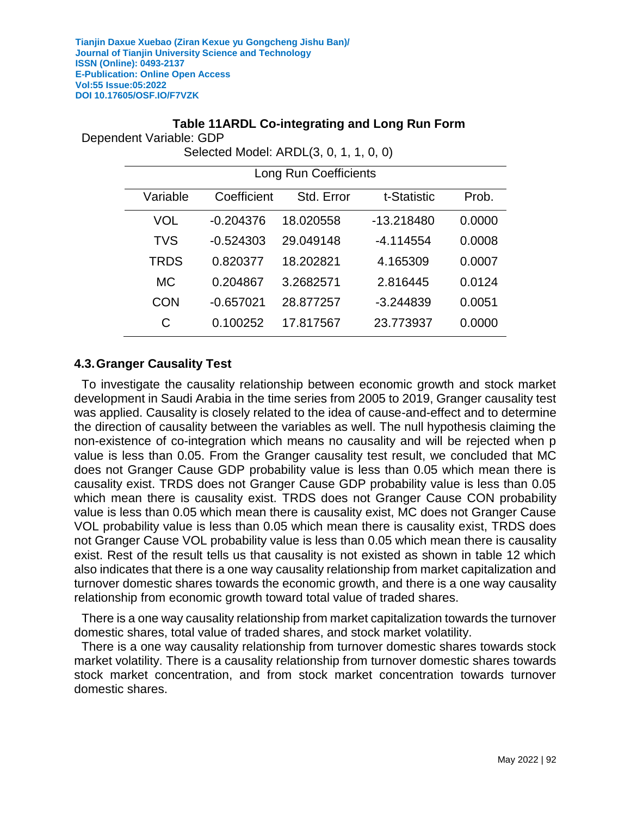# **Table 11ARDL Co-integrating and Long Run Form**

Dependent Variable: GDP

Selected Model: ARDL(3, 0, 1, 1, 0, 0)

|             | <b>Long Run Coefficients</b> |            |             |        |  |  |
|-------------|------------------------------|------------|-------------|--------|--|--|
| Variable    | Coefficient                  | Std. Error | t-Statistic | Prob.  |  |  |
| <b>VOL</b>  | $-0.204376$                  | 18.020558  | -13.218480  | 0.0000 |  |  |
| <b>TVS</b>  | $-0.524303$                  | 29.049148  | -4.114554   | 0.0008 |  |  |
| <b>TRDS</b> | 0.820377                     | 18.202821  | 4.165309    | 0.0007 |  |  |
| <b>MC</b>   | 0.204867                     | 3.2682571  | 2.816445    | 0.0124 |  |  |
| <b>CON</b>  | $-0.657021$                  | 28.877257  | $-3.244839$ | 0.0051 |  |  |
|             | 0.100252                     | 17.817567  | 23.773937   | 0.0000 |  |  |

## **4.3.Granger Causality Test**

To investigate the causality relationship between economic growth and stock market development in Saudi Arabia in the time series from 2005 to 2019, Granger causality test was applied. Causality is closely related to the idea of cause-and-effect and to determine the direction of causality between the variables as well. The null hypothesis claiming the non-existence of co-integration which means no causality and will be rejected when p value is less than 0.05. From the Granger causality test result, we concluded that MC does not Granger Cause GDP probability value is less than 0.05 which mean there is causality exist. TRDS does not Granger Cause GDP probability value is less than 0.05 which mean there is causality exist. TRDS does not Granger Cause CON probability value is less than 0.05 which mean there is causality exist, MC does not Granger Cause VOL probability value is less than 0.05 which mean there is causality exist, TRDS does not Granger Cause VOL probability value is less than 0.05 which mean there is causality exist. Rest of the result tells us that causality is not existed as shown in table 12 which also indicates that there is a one way causality relationship from market capitalization and turnover domestic shares towards the economic growth, and there is a one way causality relationship from economic growth toward total value of traded shares.

There is a one way causality relationship from market capitalization towards the turnover domestic shares, total value of traded shares, and stock market volatility.

There is a one way causality relationship from turnover domestic shares towards stock market volatility. There is a causality relationship from turnover domestic shares towards stock market concentration, and from stock market concentration towards turnover domestic shares.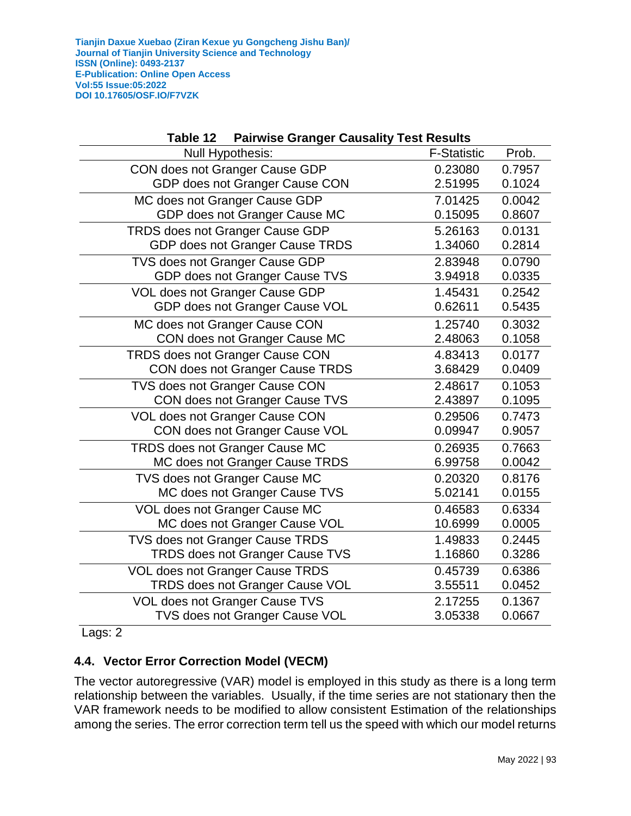| Table 12<br><b>Pairwise Granger Causality Test Results</b> |                    |        |
|------------------------------------------------------------|--------------------|--------|
| <b>Null Hypothesis:</b>                                    | <b>F-Statistic</b> | Prob.  |
| CON does not Granger Cause GDP                             | 0.23080            | 0.7957 |
| GDP does not Granger Cause CON                             | 2.51995            | 0.1024 |
| MC does not Granger Cause GDP                              | 7.01425            | 0.0042 |
| GDP does not Granger Cause MC                              | 0.15095            | 0.8607 |
| TRDS does not Granger Cause GDP                            | 5.26163            | 0.0131 |
| GDP does not Granger Cause TRDS                            | 1.34060            | 0.2814 |
| <b>TVS does not Granger Cause GDP</b>                      | 2.83948            | 0.0790 |
| GDP does not Granger Cause TVS                             | 3.94918            | 0.0335 |
| VOL does not Granger Cause GDP                             | 1.45431            | 0.2542 |
| GDP does not Granger Cause VOL                             | 0.62611            | 0.5435 |
| MC does not Granger Cause CON                              | 1.25740            | 0.3032 |
| CON does not Granger Cause MC                              | 2.48063            | 0.1058 |
| <b>TRDS does not Granger Cause CON</b>                     | 4.83413            | 0.0177 |
| <b>CON does not Granger Cause TRDS</b>                     | 3.68429            | 0.0409 |
| TVS does not Granger Cause CON                             | 2.48617            | 0.1053 |
| CON does not Granger Cause TVS                             | 2.43897            | 0.1095 |
| VOL does not Granger Cause CON                             | 0.29506            | 0.7473 |
| CON does not Granger Cause VOL                             | 0.09947            | 0.9057 |
| TRDS does not Granger Cause MC                             | 0.26935            | 0.7663 |
| MC does not Granger Cause TRDS                             | 6.99758            | 0.0042 |
| TVS does not Granger Cause MC                              | 0.20320            | 0.8176 |
| MC does not Granger Cause TVS                              | 5.02141            | 0.0155 |
| VOL does not Granger Cause MC                              | 0.46583            | 0.6334 |
| MC does not Granger Cause VOL                              | 10.6999            | 0.0005 |
| TVS does not Granger Cause TRDS                            | 1.49833            | 0.2445 |
| <b>TRDS does not Granger Cause TVS</b>                     | 1.16860            | 0.3286 |
| <b>VOL does not Granger Cause TRDS</b>                     | 0.45739            | 0.6386 |
| TRDS does not Granger Cause VOL                            | 3.55511            | 0.0452 |
| VOL does not Granger Cause TVS                             | 2.17255            | 0.1367 |
| TVS does not Granger Cause VOL                             | 3.05338            | 0.0667 |

#### **Table 12 Pairwise Granger Causality Test Results**

Lags: 2

### **4.4. Vector Error Correction Model (VECM)**

The vector autoregressive (VAR) model is employed in this study as there is a long term relationship between the variables. Usually, if the time series are not stationary then the VAR framework needs to be modified to allow consistent Estimation of the relationships among the series. The error correction term tell us the speed with which our model returns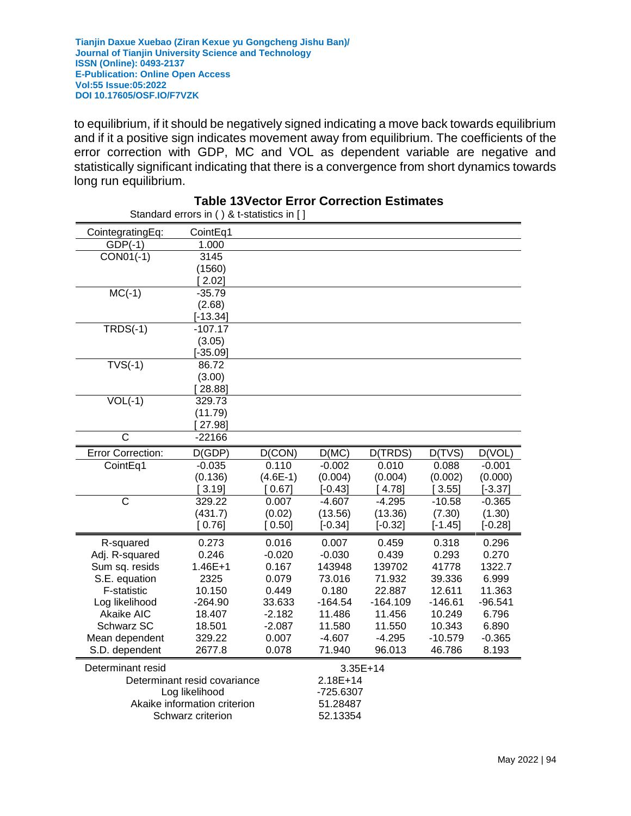Standard errors in ( ) & t-statistics in [ ]

to equilibrium, if it should be negatively signed indicating a move back towards equilibrium and if it a positive sign indicates movement away from equilibrium. The coefficients of the error correction with GDP, MC and VOL as dependent variable are negative and statistically significant indicating that there is a convergence from short dynamics towards long run equilibrium.

| CointegratingEq:             | CointEq1                     |            |           |            |           |           |
|------------------------------|------------------------------|------------|-----------|------------|-----------|-----------|
| $GDP(-1)$                    | 1.000                        |            |           |            |           |           |
| CON01(-1)                    | 3145                         |            |           |            |           |           |
|                              | (1560)                       |            |           |            |           |           |
|                              | 2.02                         |            |           |            |           |           |
| $MC(-1)$                     | $-35.79$                     |            |           |            |           |           |
|                              | (2.68)                       |            |           |            |           |           |
|                              | $[-13.34]$                   |            |           |            |           |           |
| $TRDS(-1)$                   | $-107.17$                    |            |           |            |           |           |
|                              | (3.05)                       |            |           |            |           |           |
|                              | $[-35.09]$                   |            |           |            |           |           |
| $TVS(-1)$                    | 86.72                        |            |           |            |           |           |
|                              | (3.00)                       |            |           |            |           |           |
|                              | 28.88]                       |            |           |            |           |           |
| $VOL(-1)$                    | 329.73                       |            |           |            |           |           |
|                              | (11.79)                      |            |           |            |           |           |
|                              | 27.98]                       |            |           |            |           |           |
| $\mathsf{C}$                 | $-22166$                     |            |           |            |           |           |
| Error Correction:            | D(GDP)                       | D(CON)     | D(MC)     | D(TRDS)    | D(TVS)    | D(VOL)    |
| CointEq1                     | $-0.035$                     | 0.110      | $-0.002$  | 0.010      | 0.088     | $-0.001$  |
|                              | (0.136)                      | $(4.6E-1)$ | (0.004)   | (0.004)    | (0.002)   | (0.000)   |
|                              | $3.19$ ]                     | $0.67$ ]   | $[-0.43]$ | 4.78]      | $3.55$ ]  | $[-3.37]$ |
| $\overline{\text{c}}$        | 329.22                       | 0.007      | $-4.607$  | $-4.295$   | $-10.58$  | $-0.365$  |
|                              | (431.7)                      | (0.02)     | (13.56)   | (13.36)    | (7.30)    | (1.30)    |
|                              | [0.76]                       | [0.50]     | $[-0.34]$ | $[-0.32]$  | $[-1.45]$ | $[-0.28]$ |
| R-squared                    | 0.273                        | 0.016      | 0.007     | 0.459      | 0.318     | 0.296     |
| Adj. R-squared               | 0.246                        | $-0.020$   | $-0.030$  | 0.439      | 0.293     | 0.270     |
| Sum sq. resids               | 1.46E+1                      | 0.167      | 143948    | 139702     | 41778     | 1322.7    |
| S.E. equation                | 2325                         | 0.079      | 73.016    | 71.932     | 39.336    | 6.999     |
| <b>F-statistic</b>           | 10.150                       | 0.449      | 0.180     | 22.887     | 12.611    | 11.363    |
| Log likelihood               | $-264.90$                    | 33.633     | $-164.54$ | $-164.109$ | $-146.61$ | $-96.541$ |
| <b>Akaike AIC</b>            | 18.407                       | $-2.182$   | 11.486    | 11.456     | 10.249    | 6.796     |
| Schwarz SC                   | 18.501                       | $-2.087$   | 11.580    | 11.550     | 10.343    | 6.890     |
| Mean dependent               | 329.22                       | 0.007      | $-4.607$  | $-4.295$   | $-10.579$ | $-0.365$  |
| S.D. dependent               | 2677.8                       | 0.078      | 71.940    | 96.013     | 46.786    | 8.193     |
| Determinant resid            |                              |            |           | $3.35E+14$ |           |           |
| Determinant resid covariance |                              |            | 2.18E+14  |            |           |           |
|                              | Log likelihood               |            | -725.6307 |            |           |           |
|                              | Akaike information criterion |            | 51.28487  |            |           |           |
| Schwarz criterion            | 52.13354                     |            |           |            |           |           |

### **Table 13Vector Error Correction Estimates**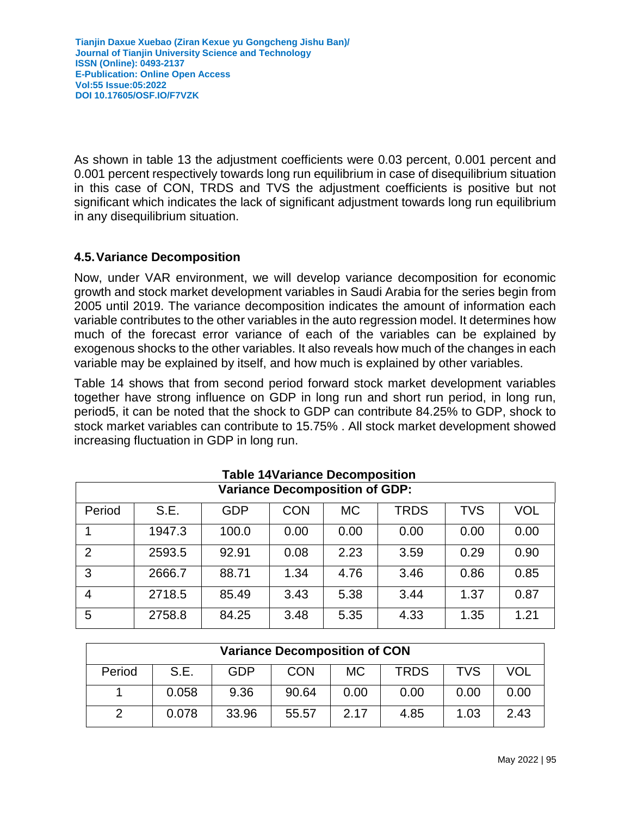As shown in table 13 the adjustment coefficients were 0.03 percent, 0.001 percent and 0.001 percent respectively towards long run equilibrium in case of disequilibrium situation in this case of CON, TRDS and TVS the adjustment coefficients is positive but not significant which indicates the lack of significant adjustment towards long run equilibrium in any disequilibrium situation.

# **4.5.Variance Decomposition**

Now, under VAR environment, we will develop variance decomposition for economic growth and stock market development variables in Saudi Arabia for the series begin from 2005 until 2019. The variance decomposition indicates the amount of information each variable contributes to the other variables in the auto regression model. It determines how much of the forecast error variance of each of the variables can be explained by exogenous shocks to the other variables. It also reveals how much of the changes in each variable may be explained by itself, and how much is explained by other variables.

Table 14 shows that from second period forward stock market development variables together have strong influence on GDP in long run and short run period, in long run, period5, it can be noted that the shock to GDP can contribute 84.25% to GDP, shock to stock market variables can contribute to 15.75% . All stock market development showed increasing fluctuation in GDP in long run.

| <b>Table 14Variance Decomposition</b><br><b>Variance Decomposition of GDP:</b> |                                                                                          |       |      |      |      |      |      |  |  |
|--------------------------------------------------------------------------------|------------------------------------------------------------------------------------------|-------|------|------|------|------|------|--|--|
| Period                                                                         | <b>TRDS</b><br><b>VOL</b><br>S.E.<br><b>CON</b><br><b>MC</b><br><b>TVS</b><br><b>GDP</b> |       |      |      |      |      |      |  |  |
|                                                                                | 1947.3                                                                                   | 100.0 | 0.00 | 0.00 | 0.00 | 0.00 | 0.00 |  |  |
| 2                                                                              | 2593.5                                                                                   | 92.91 | 0.08 | 2.23 | 3.59 | 0.29 | 0.90 |  |  |
| 3                                                                              | 2666.7                                                                                   | 88.71 | 1.34 | 4.76 | 3.46 | 0.86 | 0.85 |  |  |
| 4                                                                              | 2718.5                                                                                   | 85.49 | 3.43 | 5.38 | 3.44 | 1.37 | 0.87 |  |  |
| 5                                                                              | 2758.8                                                                                   | 84.25 | 3.48 | 5.35 | 4.33 | 1.35 | 1.21 |  |  |

| <b>Variance Decomposition of CON</b> |       |            |            |      |             |      |      |  |
|--------------------------------------|-------|------------|------------|------|-------------|------|------|--|
| Period                               | S.E.  | <b>GDP</b> | <b>CON</b> | MC.  | <b>TRDS</b> | TVS  | VOL  |  |
|                                      | 0.058 | 9.36       | 90.64      | 0.00 | 0.00        | 0.00 | 0.00 |  |
|                                      | 0.078 | 33.96      | 55.57      | 2.17 | 4.85        | 1.03 | 2.43 |  |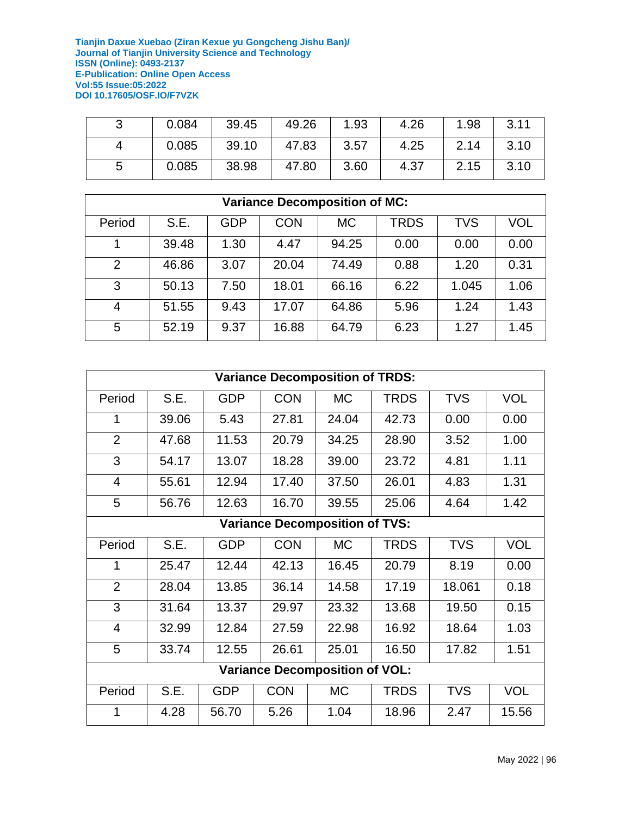|   | 0.084 | 39.45 | 49.26 | 1.93 | 4.26 | 1.98 | 3.11 |
|---|-------|-------|-------|------|------|------|------|
|   | 0.085 | 39.10 | 47.83 | 3.57 | 4.25 | 2.14 | 3.10 |
| 5 | 0.085 | 38.98 | 47.80 | 3.60 | 4.37 | 2.15 | 3.10 |

| <b>Variance Decomposition of MC:</b> |       |            |            |           |             |            |      |  |  |
|--------------------------------------|-------|------------|------------|-----------|-------------|------------|------|--|--|
| Period                               | S.E.  | <b>GDP</b> | <b>CON</b> | <b>MC</b> | <b>TRDS</b> | <b>TVS</b> | VOL  |  |  |
| 1                                    | 39.48 | 1.30       | 4.47       | 94.25     | 0.00        | 0.00       | 0.00 |  |  |
| $\overline{2}$                       | 46.86 | 3.07       | 20.04      | 74.49     | 0.88        | 1.20       | 0.31 |  |  |
| 3                                    | 50.13 | 7.50       | 18.01      | 66.16     | 6.22        | 1.045      | 1.06 |  |  |
| $\overline{4}$                       | 51.55 | 9.43       | 17.07      | 64.86     | 5.96        | 1.24       | 1.43 |  |  |
| 5                                    | 52.19 | 9.37       | 16.88      | 64.79     | 6.23        | 1.27       | 1.45 |  |  |

| Variance Decomposition of TRDS:       |       |            |            |                                       |             |            |            |  |
|---------------------------------------|-------|------------|------------|---------------------------------------|-------------|------------|------------|--|
| Period                                | S.E.  | <b>GDP</b> | <b>CON</b> | <b>MC</b>                             | <b>TRDS</b> | <b>TVS</b> | <b>VOL</b> |  |
| 1                                     | 39.06 | 5.43       | 27.81      | 24.04                                 | 42.73       | 0.00       | 0.00       |  |
| $\overline{2}$                        | 47.68 | 11.53      | 20.79      | 34.25                                 | 28.90       | 3.52       | 1.00       |  |
| 3                                     | 54.17 | 13.07      | 18.28      | 39.00                                 | 23.72       | 4.81       | 1.11       |  |
| $\overline{4}$                        | 55.61 | 12.94      | 17.40      | 37.50                                 | 26.01       | 4.83       | 1.31       |  |
| 5                                     | 56.76 | 12.63      | 16.70      | 39.55                                 | 25.06       | 4.64       | 1.42       |  |
|                                       |       |            |            | <b>Variance Decomposition of TVS:</b> |             |            |            |  |
| Period                                | S.E.  | <b>GDP</b> | <b>CON</b> | <b>MC</b>                             | <b>TRDS</b> | <b>TVS</b> | <b>VOL</b> |  |
| 1                                     | 25.47 | 12.44      | 42.13      | 16.45                                 | 20.79       | 8.19       | 0.00       |  |
| $\overline{2}$                        | 28.04 | 13.85      | 36.14      | 14.58                                 | 17.19       | 18.061     | 0.18       |  |
| 3                                     | 31.64 | 13.37      | 29.97      | 23.32                                 | 13.68       | 19.50      | 0.15       |  |
| $\overline{4}$                        | 32.99 | 12.84      | 27.59      | 22.98                                 | 16.92       | 18.64      | 1.03       |  |
| 5                                     | 33.74 | 12.55      | 26.61      | 25.01                                 | 16.50       | 17.82      | 1.51       |  |
| <b>Variance Decomposition of VOL:</b> |       |            |            |                                       |             |            |            |  |
| Period                                | S.E.  | <b>GDP</b> | <b>CON</b> | <b>MC</b>                             | <b>TRDS</b> | <b>TVS</b> | <b>VOL</b> |  |
| 1                                     | 4.28  | 56.70      | 5.26       | 1.04                                  | 18.96       | 2.47       | 15.56      |  |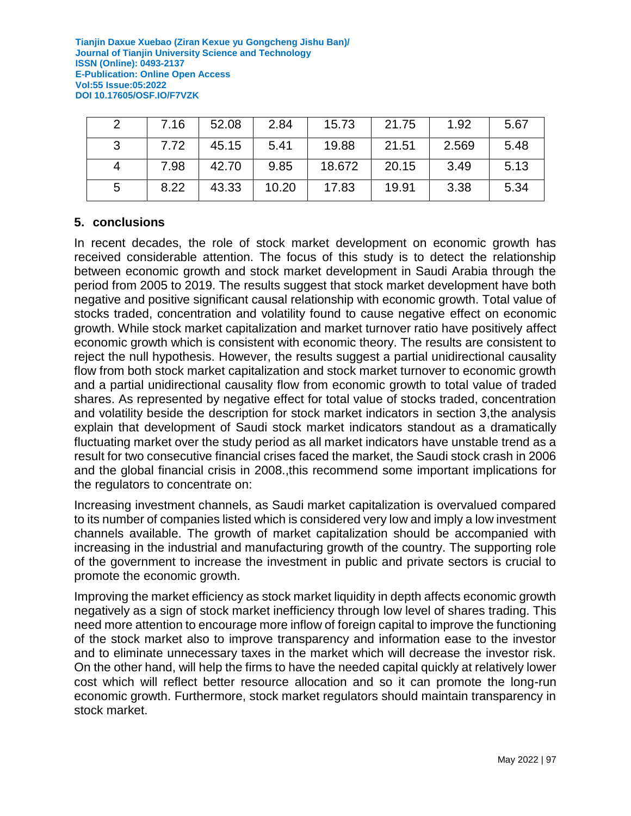|   | 7.16 | 52.08 | 2.84  | 15.73  | 21.75 | 1.92  | 5.67 |
|---|------|-------|-------|--------|-------|-------|------|
|   | 7.72 | 45.15 | 5.41  | 19.88  | 21.51 | 2.569 | 5.48 |
|   | 7.98 | 42.70 | 9.85  | 18.672 | 20.15 | 3.49  | 5.13 |
| 5 | 8.22 | 43.33 | 10.20 | 17.83  | 19.91 | 3.38  | 5.34 |

### **5. conclusions**

In recent decades, the role of stock market development on economic growth has received considerable attention. The focus of this study is to detect the relationship between economic growth and stock market development in Saudi Arabia through the period from 2005 to 2019. The results suggest that stock market development have both negative and positive significant causal relationship with economic growth. Total value of stocks traded, concentration and volatility found to cause negative effect on economic growth. While stock market capitalization and market turnover ratio have positively affect economic growth which is consistent with economic theory. The results are consistent to reject the null hypothesis. However, the results suggest a partial unidirectional causality flow from both stock market capitalization and stock market turnover to economic growth and a partial unidirectional causality flow from economic growth to total value of traded shares. As represented by negative effect for total value of stocks traded, concentration and volatility beside the description for stock market indicators in section 3,the analysis explain that development of Saudi stock market indicators standout as a dramatically fluctuating market over the study period as all market indicators have unstable trend as a result for two consecutive financial crises faced the market, the Saudi stock crash in 2006 and the global financial crisis in 2008.,this recommend some important implications for the regulators to concentrate on:

Increasing investment channels, as Saudi market capitalization is overvalued compared to its number of companies listed which is considered very low and imply a low investment channels available. The growth of market capitalization should be accompanied with increasing in the industrial and manufacturing growth of the country. The supporting role of the government to increase the investment in public and private sectors is crucial to promote the economic growth.

Improving the market efficiency as stock market liquidity in depth affects economic growth negatively as a sign of stock market inefficiency through low level of shares trading. This need more attention to encourage more inflow of foreign capital to improve the functioning of the stock market also to improve transparency and information ease to the investor and to eliminate unnecessary taxes in the market which will decrease the investor risk. On the other hand, will help the firms to have the needed capital quickly at relatively lower cost which will reflect better resource allocation and so it can promote the long-run economic growth. Furthermore, stock market regulators should maintain transparency in stock market.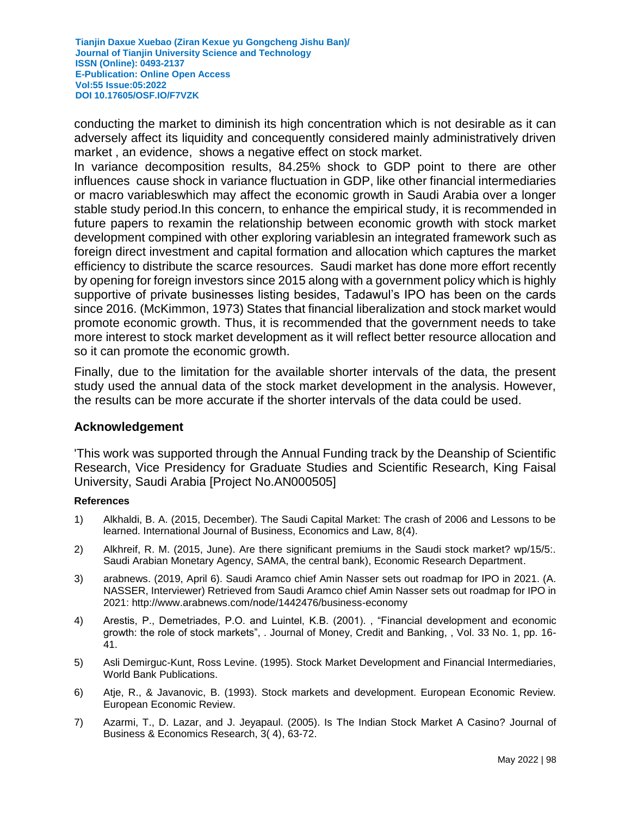conducting the market to diminish its high concentration which is not desirable as it can adversely affect its liquidity and concequently considered mainly administratively driven market , an evidence, shows a negative effect on stock market.

In variance decomposition results, 84.25% shock to GDP point to there are other influences cause shock in variance fluctuation in GDP, like other financial intermediaries or macro variableswhich may affect the economic growth in Saudi Arabia over a longer stable study period.In this concern, to enhance the empirical study, it is recommended in future papers to rexamin the relationship between economic growth with stock market development compined with other exploring variablesin an integrated framework such as foreign direct investment and capital formation and allocation which captures the market efficiency to distribute the scarce resources. Saudi market has done more effort recently by opening for foreign investors since 2015 along with a government policy which is highly supportive of private businesses listing besides, Tadawul's IPO has been on the cards since 2016. (McKimmon, 1973) States that financial liberalization and stock market would promote economic growth. Thus, it is recommended that the government needs to take more interest to stock market development as it will reflect better resource allocation and so it can promote the economic growth.

Finally, due to the limitation for the available shorter intervals of the data, the present study used the annual data of the stock market development in the analysis. However, the results can be more accurate if the shorter intervals of the data could be used.

#### **Acknowledgement**

'This work was supported through the Annual Funding track by the Deanship of Scientific Research, Vice Presidency for Graduate Studies and Scientific Research, King Faisal University, Saudi Arabia [Project No.AN000505]

#### **References**

- 1) Alkhaldi, B. A. (2015, December). The Saudi Capital Market: The crash of 2006 and Lessons to be learned. International Journal of Business, Economics and Law, 8(4).
- 2) Alkhreif, R. M. (2015, June). Are there significant premiums in the Saudi stock market? wp/15/5:. Saudi Arabian Monetary Agency, SAMA, the central bank), Economic Research Department.
- 3) arabnews. (2019, April 6). Saudi Aramco chief Amin Nasser sets out roadmap for IPO in 2021. (A. NASSER, Interviewer) Retrieved from Saudi Aramco chief Amin Nasser sets out roadmap for IPO in 2021: http://www.arabnews.com/node/1442476/business-economy
- 4) Arestis, P., Demetriades, P.O. and Luintel, K.B. (2001). , "Financial development and economic growth: the role of stock markets", . Journal of Money, Credit and Banking, , Vol. 33 No. 1, pp. 16- 41.
- 5) Asli Demirguc-Kunt, Ross Levine. (1995). Stock Market Development and Financial Intermediaries, World Bank Publications.
- 6) Atje, R., & Javanovic, B. (1993). Stock markets and development. European Economic Review. European Economic Review.
- 7) Azarmi, T., D. Lazar, and J. Jeyapaul. (2005). Is The Indian Stock Market A Casino? Journal of Business & Economics Research, 3( 4), 63-72.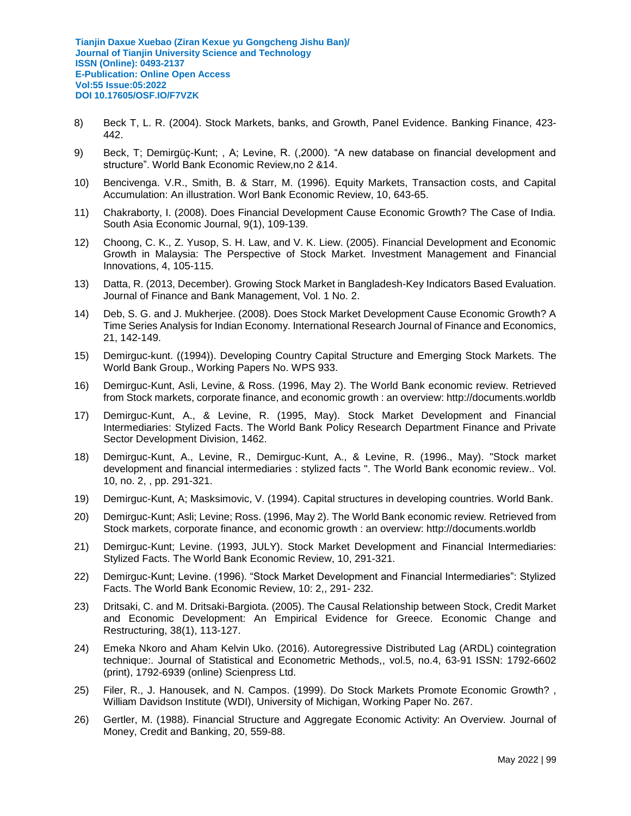- 8) Beck T, L. R. (2004). Stock Markets, banks, and Growth, Panel Evidence. Banking Finance, 423- 442.
- 9) Beck, T; Demirgüç-Kunt; , A; Levine, R. (,2000). "A new database on financial development and structure". World Bank Economic Review,no 2 &14.
- 10) Bencivenga. V.R., Smith, B. & Starr, M. (1996). Equity Markets, Transaction costs, and Capital Accumulation: An illustration. Worl Bank Economic Review, 10, 643-65.
- 11) Chakraborty, I. (2008). Does Financial Development Cause Economic Growth? The Case of India. South Asia Economic Journal, 9(1), 109-139.
- 12) Choong, C. K., Z. Yusop, S. H. Law, and V. K. Liew. (2005). Financial Development and Economic Growth in Malaysia: The Perspective of Stock Market. Investment Management and Financial Innovations, 4, 105-115.
- 13) Datta, R. (2013, December). Growing Stock Market in Bangladesh-Key Indicators Based Evaluation. Journal of Finance and Bank Management, Vol. 1 No. 2.
- 14) Deb, S. G. and J. Mukherjee. (2008). Does Stock Market Development Cause Economic Growth? A Time Series Analysis for Indian Economy. International Research Journal of Finance and Economics, 21, 142-149.
- 15) Demirguc-kunt. ((1994)). Developing Country Capital Structure and Emerging Stock Markets. The World Bank Group., Working Papers No. WPS 933.
- 16) Demirguc-Kunt, Asli, Levine, & Ross. (1996, May 2). The World Bank economic review. Retrieved from Stock markets, corporate finance, and economic growth : an overview: http://documents.worldb
- 17) Demirguc-Kunt, A., & Levine, R. (1995, May). Stock Market Development and Financial Intermediaries: Stylized Facts. The World Bank Policy Research Department Finance and Private Sector Development Division, 1462.
- 18) Demirguc-Kunt, A., Levine, R., Demirguc-Kunt, A., & Levine, R. (1996., May). "Stock market development and financial intermediaries : stylized facts ". The World Bank economic review.. Vol. 10, no. 2, , pp. 291-321.
- 19) Demirguc-Kunt, A; Masksimovic, V. (1994). Capital structures in developing countries. World Bank.
- 20) Demirguc-Kunt; Asli; Levine; Ross. (1996, May 2). The World Bank economic review. Retrieved from Stock markets, corporate finance, and economic growth : an overview: http://documents.worldb
- 21) Demirguc-Kunt; Levine. (1993, JULY). Stock Market Development and Financial Intermediaries: Stylized Facts. The World Bank Economic Review, 10, 291-321.
- 22) Demirguc-Kunt; Levine. (1996). "Stock Market Development and Financial Intermediaries": Stylized Facts. The World Bank Economic Review, 10: 2,, 291- 232.
- 23) Dritsaki, C. and M. Dritsaki-Bargiota. (2005). The Causal Relationship between Stock, Credit Market and Economic Development: An Empirical Evidence for Greece. Economic Change and Restructuring, 38(1), 113-127.
- 24) Emeka Nkoro and Aham Kelvin Uko. (2016). Autoregressive Distributed Lag (ARDL) cointegration technique:. Journal of Statistical and Econometric Methods,, vol.5, no.4, 63-91 ISSN: 1792-6602 (print), 1792-6939 (online) Scienpress Ltd.
- 25) Filer, R., J. Hanousek, and N. Campos. (1999). Do Stock Markets Promote Economic Growth? , William Davidson Institute (WDI), University of Michigan, Working Paper No. 267.
- 26) Gertler, M. (1988). Financial Structure and Aggregate Economic Activity: An Overview. Journal of Money, Credit and Banking, 20, 559-88.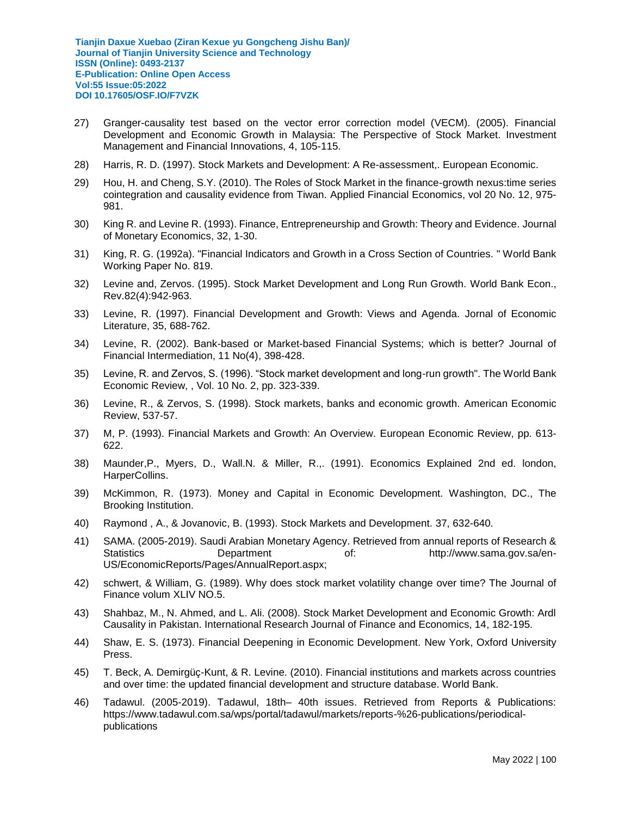- 27) Granger-causality test based on the vector error correction model (VECM). (2005). Financial Development and Economic Growth in Malaysia: The Perspective of Stock Market. Investment Management and Financial Innovations, 4, 105-115.
- 28) Harris, R. D. (1997). Stock Markets and Development: A Re-assessment,. European Economic.
- 29) Hou, H. and Cheng, S.Y. (2010). The Roles of Stock Market in the finance-growth nexus:time series cointegration and causality evidence from Tiwan. Applied Financial Economics, vol 20 No. 12, 975- 981.
- 30) King R. and Levine R. (1993). Finance, Entrepreneurship and Growth: Theory and Evidence. Journal of Monetary Economics, 32, 1-30.
- 31) King, R. G. (1992a). "Financial Indicators and Growth in a Cross Section of Countries. " World Bank Working Paper No. 819.
- 32) Levine and, Zervos. (1995). Stock Market Development and Long Run Growth. World Bank Econ., Rev.82(4):942-963.
- 33) Levine, R. (1997). Financial Development and Growth: Views and Agenda. Jornal of Economic Literature, 35, 688-762.
- 34) Levine, R. (2002). Bank-based or Market-based Financial Systems; which is better? Journal of Financial Intermediation, 11 No(4), 398-428.
- 35) Levine, R. and Zervos, S. (1996). "Stock market development and long-run growth". The World Bank Economic Review, , Vol. 10 No. 2, pp. 323-339.
- 36) Levine, R., & Zervos, S. (1998). Stock markets, banks and economic growth. American Economic Review, 537-57.
- 37) M, P. (1993). Financial Markets and Growth: An Overview. European Economic Review, pp. 613- 622.
- 38) Maunder,P., Myers, D., Wall.N. & Miller, R.,. (1991). Economics Explained 2nd ed. london, HarperCollins.
- 39) McKimmon, R. (1973). Money and Capital in Economic Development. Washington, DC., The Brooking Institution.
- 40) Raymond , A., & Jovanovic, B. (1993). Stock Markets and Development. 37, 632-640.
- 41) SAMA. (2005-2019). Saudi Arabian Monetary Agency. Retrieved from annual reports of Research & Statistics **Department** Department of: http://www.sama.gov.sa/en-US/EconomicReports/Pages/AnnualReport.aspx;
- 42) schwert, & William, G. (1989). Why does stock market volatility change over time? The Journal of Finance volum XLIV NO.5.
- 43) Shahbaz, M., N. Ahmed, and L. Ali. (2008). Stock Market Development and Economic Growth: Ardl Causality in Pakistan. International Research Journal of Finance and Economics, 14, 182-195.
- 44) Shaw, E. S. (1973). Financial Deepening in Economic Development. New York, Oxford University Press.
- 45) T. Beck, A. Demirgüç-Kunt, & R. Levine. (2010). Financial institutions and markets across countries and over time: the updated financial development and structure database. World Bank.
- 46) Tadawul. (2005-2019). Tadawul, 18th– 40th issues. Retrieved from Reports & Publications: https://www.tadawul.com.sa/wps/portal/tadawul/markets/reports-%26-publications/periodicalpublications